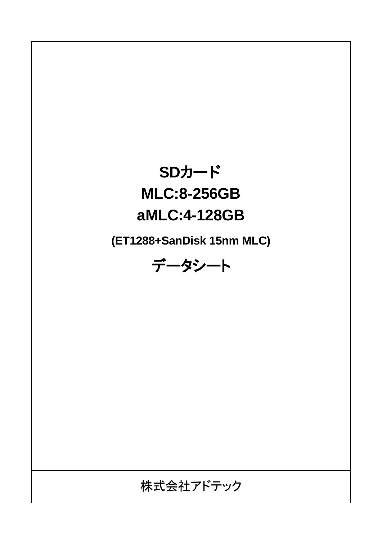# **SDカード MLC:8-256GB aMLC:4-128GB**

**(ET1288+SanDisk 15nm MLC)**

データシート

株式会社アドテック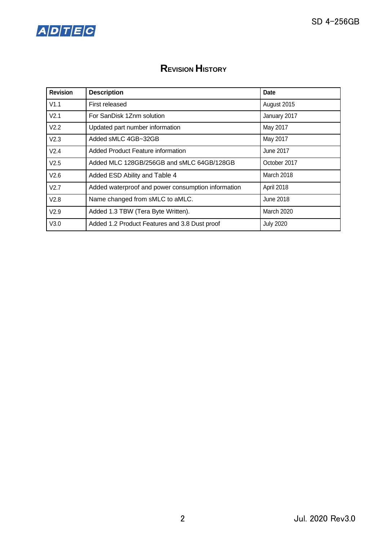



# **REVISION HISTORY**

| <b>Revision</b>  | <b>Description</b>                                 | Date              |
|------------------|----------------------------------------------------|-------------------|
| V1.1             | First released                                     | August 2015       |
| V <sub>2.1</sub> | For SanDisk 1Znm solution                          | January 2017      |
| V2.2             | Updated part number information                    | May 2017          |
| V2.3             | Added sMLC 4GB~32GB                                | May 2017          |
| V2.4             | Added Product Feature information                  | June 2017         |
| V2.5             | Added MLC 128GB/256GB and sMLC 64GB/128GB          | October 2017      |
| V2.6             | Added ESD Ability and Table 4                      | <b>March 2018</b> |
| V2.7             | Added waterproof and power consumption information | April 2018        |
| V2.8             | Name changed from sMLC to aMLC.                    | June 2018         |
| V2.9             | Added 1.3 TBW (Tera Byte Written).                 | <b>March 2020</b> |
| V3.0             | Added 1.2 Product Features and 3.8 Dust proof      | <b>July 2020</b>  |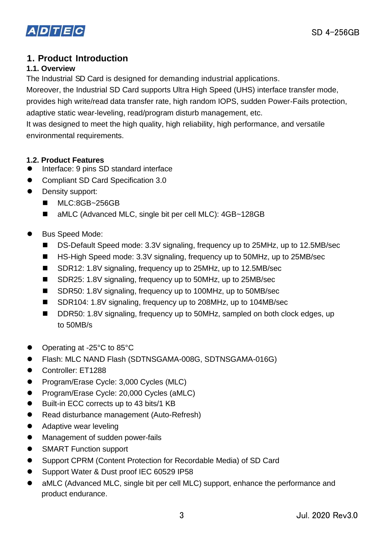

# **1. Product Introduction**

# **1.1. Overview**

The Industrial SD Card is designed for demanding industrial applications.

Moreover, the Industrial SD Card supports Ultra High Speed (UHS) interface transfer mode, provides high write/read data transfer rate, high random IOPS, sudden Power-Fails protection, adaptive static wear-leveling, read/program disturb management, etc.

It was designed to meet the high quality, high reliability, high performance, and versatile environmental requirements.

# **1.2. Product Features**

- ⚫ Interface: 9 pins SD standard interface
- Compliant SD Card Specification 3.0
- Density support:
	- MLC:8GB~256GB
	- aMLC (Advanced MLC, single bit per cell MLC): 4GB~128GB
- ⚫ Bus Speed Mode:
	- DS-Default Speed mode: 3.3V signaling, frequency up to 25MHz, up to 12.5MB/sec
	- HS-High Speed mode: 3.3V signaling, frequency up to 50MHz, up to 25MB/sec
	- SDR12: 1.8V signaling, frequency up to 25MHz, up to 12.5MB/sec
	- SDR25: 1.8V signaling, frequency up to 50MHz, up to 25MB/sec
	- SDR50: 1.8V signaling, frequency up to 100MHz, up to 50MB/sec
	- SDR104: 1.8V signaling, frequency up to 208MHz, up to 104MB/sec
	- DDR50: 1.8V signaling, frequency up to 50MHz, sampled on both clock edges, up to 50MB/s
- ⚫ Operating at -25°C to 85°C
- ⚫ Flash: MLC NAND Flash (SDTNSGAMA-008G, SDTNSGAMA-016G)
- Controller: ET1288
- Program/Erase Cycle: 3,000 Cycles (MLC)
- ⚫ Program/Erase Cycle: 20,000 Cycles (aMLC)
- ⚫ Built-in ECC corrects up to 43 bits/1 KB
- Read disturbance management (Auto-Refresh)
- Adaptive wear leveling
- Management of sudden power-fails
- SMART Function support
- Support CPRM (Content Protection for Recordable Media) of SD Card
- Support Water & Dust proof IEC 60529 IP58
- aMLC (Advanced MLC, single bit per cell MLC) support, enhance the performance and product endurance.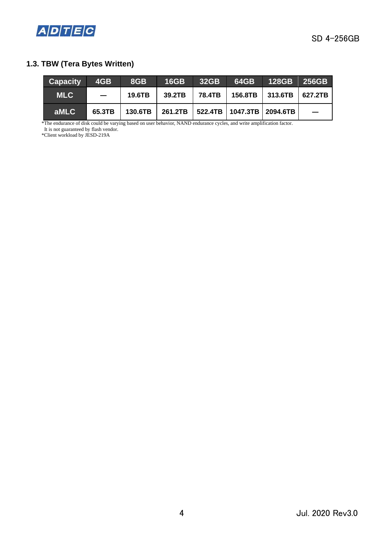

# **1.3. TBW (Tera Bytes Written)**

| <b>Capacity</b> | 4GB                  | 8GB    | <b>16GB</b> | 32GB |                                                   | $64GB$ 128GB 256GB                   |  |
|-----------------|----------------------|--------|-------------|------|---------------------------------------------------|--------------------------------------|--|
| <b>MLC</b>      | $\sim$ $\sim$ $\sim$ | 19.6TB | 39.2TB      |      |                                                   | 78.4TB   156.8TB   313.6TB   627.2TB |  |
| aMLC            | 65.3TB               |        |             |      | 130.6TB   261.2TB   522.4TB   1047.3TB   2094.6TB |                                      |  |

\*The endurance of disk could be varying based on user behavior, NAND endurance cycles, and write amplification factor. It is not guaranteed by flash vendor.

\*Client workload by JESD-219A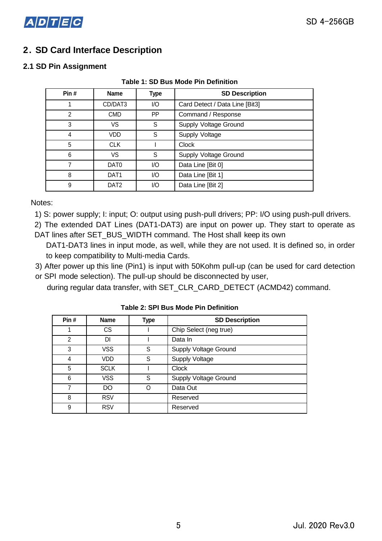

# **2. SD Card Interface Description**

### **2.1 SD Pin Assignment**

| Pin#           | <b>Name</b>      | <b>Type</b> | <b>SD Description</b>          |
|----------------|------------------|-------------|--------------------------------|
| 1              | CD/DAT3          | I/O         | Card Detect / Data Line [Bit3] |
| $\overline{2}$ | <b>CMD</b>       | PP          | Command / Response             |
| 3              | VS               | S           | Supply Voltage Ground          |
| 4              | VDD              | S           | Supply Voltage                 |
| 5              | <b>CLK</b>       |             | <b>Clock</b>                   |
| 6              | VS               | S           | Supply Voltage Ground          |
| 7              | DAT <sub>0</sub> | I/O         | Data Line [Bit 0]              |
| 8              | DAT <sub>1</sub> | I/O         | Data Line [Bit 1]              |
| 9              | DAT <sub>2</sub> | I/O         | Data Line [Bit 2]              |

#### **Table 1: SD Bus Mode Pin Definition**

Notes:

1) S: power supply; I: input; O: output using push-pull drivers; PP: I/O using push-pull drivers.

2) The extended DAT Lines (DAT1-DAT3) are input on power up. They start to operate as DAT lines after SET\_BUS\_WIDTH command. The Host shall keep its own

DAT1-DAT3 lines in input mode, as well, while they are not used. It is defined so, in order to keep compatibility to Multi-media Cards.

3) After power up this line (Pin1) is input with 50Kohm pull-up (can be used for card detection or SPI mode selection). The pull-up should be disconnected by user,

during regular data transfer, with SET\_CLR\_CARD\_DETECT (ACMD42) command.

| Pin#          | <b>Name</b> | Type | <b>SD Description</b>        |
|---------------|-------------|------|------------------------------|
|               | СS          |      | Chip Select (neg true)       |
| $\mathcal{P}$ | DI          |      | Data In                      |
| 3             | <b>VSS</b>  | S    | <b>Supply Voltage Ground</b> |
| 4             | VDD         | S    | <b>Supply Voltage</b>        |
| 5             | <b>SCLK</b> |      | <b>Clock</b>                 |
| 6             | <b>VSS</b>  | S    | <b>Supply Voltage Ground</b> |
|               | DO          |      | Data Out                     |
| 8             | <b>RSV</b>  |      | Reserved                     |
| 9             | <b>RSV</b>  |      | Reserved                     |

**Table 2: SPI Bus Mode Pin Definition**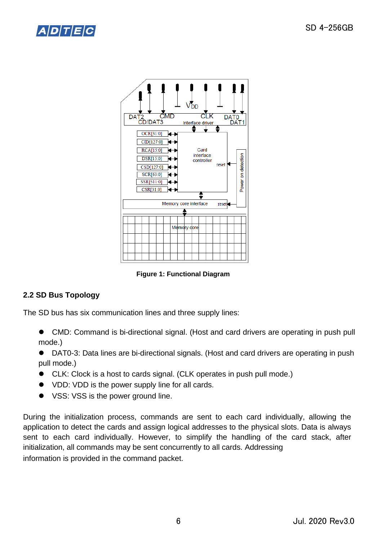



**Figure 1: Functional Diagram** 

# **2.2 SD Bus Topology**

The SD bus has six communication lines and three supply lines:

- CMD: Command is bi-directional signal. (Host and card drivers are operating in push pull mode.)
- DAT0-3: Data lines are bi-directional signals. (Host and card drivers are operating in push pull mode.)
- CLK: Clock is a host to cards signal. (CLK operates in push pull mode.)
- VDD: VDD is the power supply line for all cards.
- VSS: VSS is the power ground line.

During the initialization process, commands are sent to each card individually, allowing the application to detect the cards and assign logical addresses to the physical slots. Data is always sent to each card individually. However, to simplify the handling of the card stack, after initialization, all commands may be sent concurrently to all cards. Addressing information is provided in the command packet.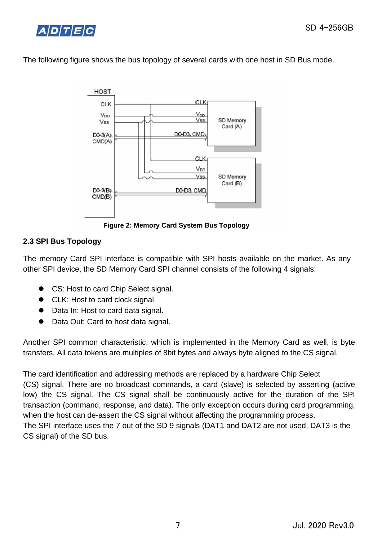



The following figure shows the bus topology of several cards with one host in SD Bus mode.



**Figure 2: Memory Card System Bus Topology** 

# **2.3 SPI Bus Topology**

The memory Card SPI interface is compatible with SPI hosts available on the market. As any other SPI device, the SD Memory Card SPI channel consists of the following 4 signals:

- CS: Host to card Chip Select signal.
- CLK: Host to card clock signal.
- Data In: Host to card data signal.
- Data Out: Card to host data signal.

Another SPI common characteristic, which is implemented in the Memory Card as well, is byte transfers. All data tokens are multiples of 8bit bytes and always byte aligned to the CS signal.

The card identification and addressing methods are replaced by a hardware Chip Select (CS) signal. There are no broadcast commands, a card (slave) is selected by asserting (active low) the CS signal. The CS signal shall be continuously active for the duration of the SPI transaction (command, response, and data). The only exception occurs during card programming, when the host can de-assert the CS signal without affecting the programming process. The SPI interface uses the 7 out of the SD 9 signals (DAT1 and DAT2 are not used, DAT3 is the CS signal) of the SD bus.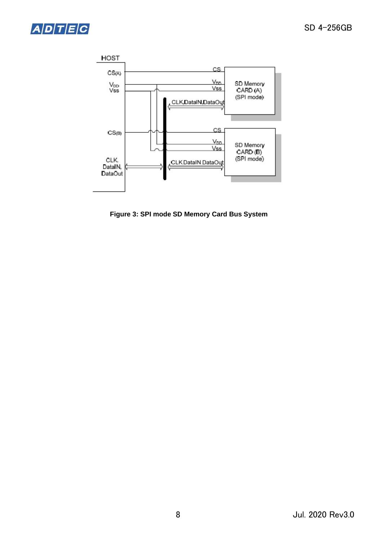



**Figure 3: SPI mode SD Memory Card Bus System**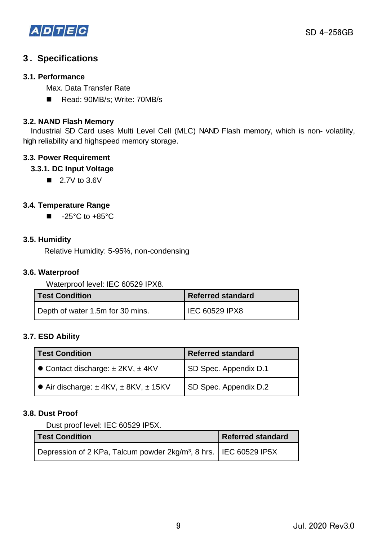

# **3 . Specifications**

### **3.1. Performance**

Max. Data Transfer Rate

■ Read: 90MB/s; Write: 70MB/s

### **3.2. NAND Flash Memory**

Industrial SD Card uses Multi Level Cell (MLC) NAND Flash memory, which is non- volatility, high reliability and highspeed memory storage.

# **3.3. Power Requirement**

# **3.3.1. DC Input Voltage**

 $\blacksquare$  2.7V to 3.6V

# **3.4. Temperature Range**

 $\blacksquare$  -25°C to +85°C

### **3.5. Humidity**

Relative Humidity: 5-95%, non-condensing

### **3.6. Waterproof**

Waterproof level: IEC 60529 IPX8.

| l Test Condition                 | <b>Referred standard</b>    |  |  |
|----------------------------------|-----------------------------|--|--|
| Depth of water 1.5m for 30 mins. | <sup>I</sup> IEC 60529 IPX8 |  |  |

### **3.7. ESD Ability**

| <b>Test Condition</b>                             | <b>Referred standard</b> |  |  |
|---------------------------------------------------|--------------------------|--|--|
| • Contact discharge: $\pm$ 2KV, $\pm$ 4KV         | SD Spec. Appendix D.1    |  |  |
| • Air discharge: $\pm$ 4KV, $\pm$ 8KV, $\pm$ 15KV | SD Spec. Appendix D.2    |  |  |

### **3.8. Dust Proof**

Dust proof level: IEC 60529 IP5X.

| <b>Test Condition</b>                                                           | <b>Referred standard</b> |
|---------------------------------------------------------------------------------|--------------------------|
| Depression of 2 KPa, Talcum powder 2kg/m <sup>3</sup> , 8 hrs.   IEC 60529 IP5X |                          |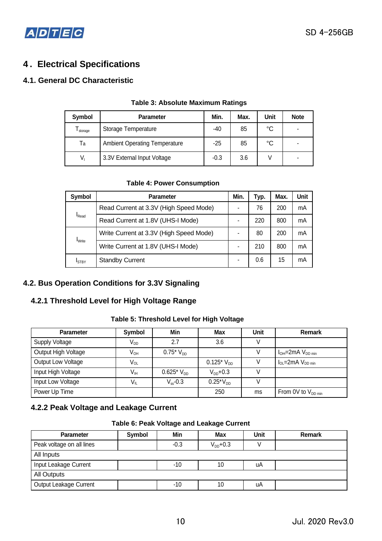

# **4 . Electrical Specifications**

# **4.1. General DC Characteristic**

| Symbol    | <b>Parameter</b>                     | Min.   | Max. | Unit            | <b>Note</b> |
|-----------|--------------------------------------|--------|------|-----------------|-------------|
| I storage | Storage Temperature                  | -40    | 85   | $\rm ^{\circ}C$ |             |
| Ta        | <b>Ambient Operating Temperature</b> | $-25$  | 85   | $\rm ^{\circ}C$ |             |
| $V_{1}$   | 3.3V External Input Voltage          | $-0.3$ | 3.6  |                 |             |

#### **Table 3: Absolute Maximum Ratings**

#### **Table 4: Power Consumption**

| Symbol            | <b>Parameter</b>                        | Min. | Typ. | Max. | Unit |
|-------------------|-----------------------------------------|------|------|------|------|
|                   | Read Current at 3.3V (High Speed Mode)  |      | 76   | 200  | mA   |
| $I_{\text{Read}}$ | Read Current at 1.8V (UHS-I Mode)       |      | 220  | 800  | mA   |
|                   | Write Current at 3.3V (High Speed Mode) |      | 80   | 200  | mA   |
| <b>I</b> Write    | Write Current at 1.8V (UHS-I Mode)      |      | 210  | 800  | mA   |
| <b>ISTBY</b>      | <b>Standby Current</b>                  |      | 0.6  | 15   | mA   |

# **4.2. Bus Operation Conditions for 3.3V Signaling**

# **4.2.1 Threshold Level for High Voltage Range**

#### **Table 5: Threshold Level for High Voltage**

| <b>Parameter</b>      | Symbol          | Min            | <b>Max</b>     | Unit | <b>Remark</b>              |
|-----------------------|-----------------|----------------|----------------|------|----------------------------|
| <b>Supply Voltage</b> | V <sub>DD</sub> | 2.7            | 3.6            |      |                            |
| Output High Voltage   | $V_{OH}$        | $0.75*V_{DD}$  |                |      | $I_{OH}$ =2mA $V_{DD min}$ |
| Output Low Voltage    | $V_{OL}$        |                | $0.125*V_{DD}$ |      | $I_{OL}$ =2mA $V_{DD,min}$ |
| Input High Voltage    | V <sub>IH</sub> | $0.625*V_{DD}$ | $V_{DD}$ +0.3  |      |                            |
| Input Low Voltage     | $V_{IL}$        | $V_{ss}$ -0.3  | $0.25*V_{DD}$  |      |                            |
| Power Up Time         |                 |                | 250            | ms   | From 0V to $V_{DD min}$    |

# **4.2.2 Peak Voltage and Leakage Current**

#### **Table 6: Peak Voltage and Leakage Current**

| <b>Parameter</b>          | Symbol | Min    | <b>Max</b>    | <b>Unit</b> | Remark |
|---------------------------|--------|--------|---------------|-------------|--------|
| Peak voltage on all lines |        | $-0.3$ | $V_{DD}$ +0.3 |             |        |
| All Inputs                |        |        |               |             |        |
| Input Leakage Current     |        | -10    | 10            | uA          |        |
| All Outputs               |        |        |               |             |        |
| Output Leakage Current    |        | -10    | 10            | uA          |        |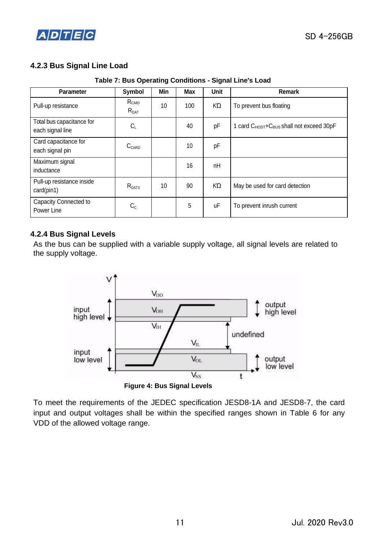

# **4.2.3 Bus Signal Line Load**

**Table 7: Bus Operating Conditions - Signal Line's Load** 

| <b>Parameter</b>                              | Symbol                               | Min | <b>Max</b> | Unit | <b>Remark</b>                                                    |
|-----------------------------------------------|--------------------------------------|-----|------------|------|------------------------------------------------------------------|
| Pull-up resistance                            | R <sub>CMD</sub><br>$R_{\text{DAT}}$ | 10  | 100        | KΏ   | To prevent bus floating                                          |
| Total bus capacitance for<br>each signal line | $C_L$                                |     | 40         | рF   | 1 card C <sub>HOST</sub> +C <sub>BUS</sub> shall not exceed 30pF |
| Card capacitance for<br>each signal pin       | $C_{\text{CARD}}$                    |     | 10         | pF   |                                                                  |
| Maximum signal<br>inductance                  |                                      |     | 16         | nH   |                                                                  |
| Pull-up resistance inside<br>card(pin1)       | $R_{DATA}$                           | 10  | 90         | KΏ   | May be used for card detection                                   |
| Capacity Connected to<br>Power Line           | $C_{C}$                              |     | 5          | uF   | To prevent inrush current                                        |

#### **4.2.4 Bus Signal Levels**

As the bus can be supplied with a variable supply voltage, all signal levels are related to the supply voltage.



To meet the requirements of the JEDEC specification JESD8-1A and JESD8-7, the card input and output voltages shall be within the specified ranges shown in Table 6 for any VDD of the allowed voltage range.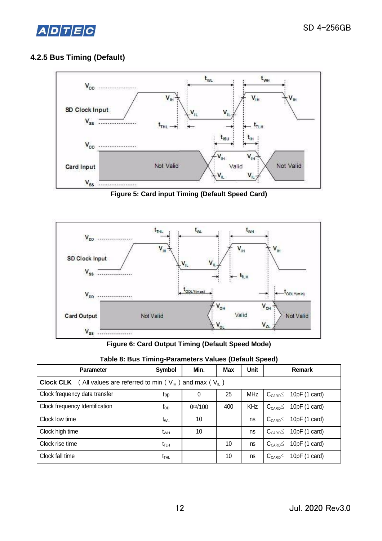

# **4.2.5 Bus Timing (Default)**



**Figure 5: Card input Timing (Default Speed Card)**



**Figure 6: Card Output Timing (Default Speed Mode)**

| , as contracted to the contraction of the contracted to the contract of the contract of the contract of the co |            |               |     |       |  |                                                 |  |  |
|----------------------------------------------------------------------------------------------------------------|------------|---------------|-----|-------|--|-------------------------------------------------|--|--|
| <b>Parameter</b>                                                                                               | Symbol     | Min.          | Max | Unit  |  | Remark                                          |  |  |
| <b>Clock CLK</b> ( All values are referred to min ( $V_{H}$ ) and max ( $V_{L}$ )                              |            |               |     |       |  |                                                 |  |  |
| Clock frequency data transfer                                                                                  | <b>Tpp</b> |               | 25  |       |  | MHz $\,$ C <sub>CARD</sub> $\leq$ 10pF (1 card) |  |  |
| Clock frequency Identification                                                                                 | top        | $0^{(1)}/100$ | 400 | KHz I |  | $C_{CARD} \leq 10pF (1 card)$                   |  |  |

Clock low time  $t_{WL}$  10  $t_{ML}$  10 ns  $C_{CARD} \leq 10pF (1 card)$ Clock high time  $t_{WH}$  10  $t_{WH}$  10 ns  $C_{CARD} \leq 10pF (1 card)$ Clock rise time  $t_{\text{TLH}}$   $t_{\text{TLH}}$  10 ns  $C_{\text{CARD}} \leq 10pF(1 \text{ card})$ Clock fall time  $t_{\text{THL}}$   $t_{\text{THL}}$  10  $\vert$  ns  $\vert$  C<sub>CARD</sub>  $\leq$  10pF (1 card)

|  | Table 8: Bus Timing-Parameters Values (Default Speed) |  |
|--|-------------------------------------------------------|--|
|  |                                                       |  |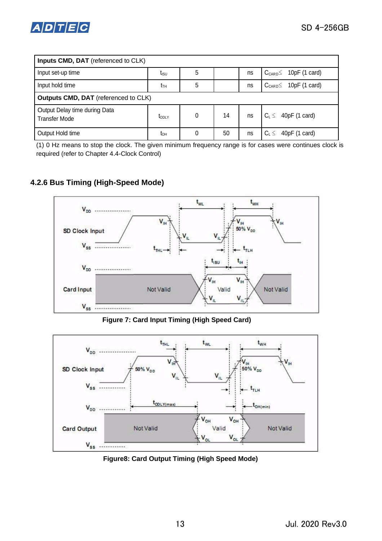

| Inputs CMD, DAT (referenced to CLK)                   |                   |          |    |    |                                 |  |
|-------------------------------------------------------|-------------------|----------|----|----|---------------------------------|--|
| Input set-up time                                     | โเร∪              | 5        |    | ns | $C_{CARD} \leq 10pF (1 card)$   |  |
| Input hold time                                       | tтн               | 5        |    | ns | $C_{CARD} \leq 10pF (1 card)$   |  |
| <b>Outputs CMD, DAT</b> (referenced to CLK)           |                   |          |    |    |                                 |  |
| Output Delay time during Data<br><b>Transfer Mode</b> | t <sub>ODLY</sub> | $\Omega$ | 14 | ns | $C_L \leq 40pF(1 \text{ card})$ |  |
| Output Hold time                                      | tон               | 0        | 50 | ns | 40pF (1 card)<br>$C_1 \leq$     |  |

(1) 0 Hz means to stop the clock. The given minimum frequency range is for cases were continues clock is required (refer to Chapter 4.4-Clock Control)

# **4.2.6 Bus Timing (High-Speed Mode)**



**Figure 7: Card Input Timing (High Speed Card)** 



**Figure8: Card Output Timing (High Speed Mode)**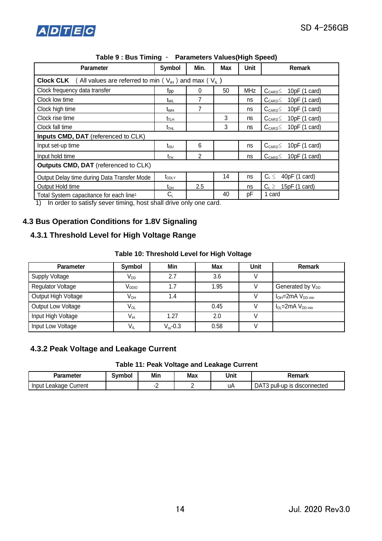

| <b>Parameter</b>                                                                   | <b>Symbol</b>                   | Min. | <b>Max</b> | Unit       | Remark                                           |  |  |
|------------------------------------------------------------------------------------|---------------------------------|------|------------|------------|--------------------------------------------------|--|--|
| <b>Clock CLK</b> (All values are referred to min $(V_{\mu})$ and max $(V_{\mu})$ ) |                                 |      |            |            |                                                  |  |  |
| Clock frequency data transfer                                                      | fpp                             | 0    | 50         | <b>MHz</b> | 10pF(1 card)<br>$C_{\text{CARD}} \leq$           |  |  |
| Clock low time                                                                     | t <sub>WL</sub>                 |      |            | ns         | 10pF (1 card)<br>$C_{\text{CARD}} \leq$          |  |  |
| Clock high time                                                                    | t <sub>wн</sub>                 |      |            | ns         | 10pF(1 card)<br>$C_{\text{CARD}} \leq$           |  |  |
| Clock rise time                                                                    | $t_{\scriptscriptstyle\rm TLH}$ |      | 3          | ns         | 10pF (1 card)<br>$\rm C_{\rm CARD}$ $\leq$       |  |  |
| Clock fall time                                                                    | $t_{THL}$                       |      | 3          | ns         | 10 $pF(1 \text{ card})$<br>$\rm C_{\tiny{CARD}}$ |  |  |
| Inputs CMD, DAT (referenced to CLK)                                                |                                 |      |            |            |                                                  |  |  |
| Input set-up time                                                                  | $t_{\text{\tiny{ISU}}}$         | 6    |            | ns         | $C_{CARD} \leq 10pF (1 card)$                    |  |  |
| Input hold time                                                                    | $t_{TH}$                        | 2    |            | ns         | 10pF(1 card)<br>$C_{\text{CARD}}$                |  |  |
| <b>Outputs CMD, DAT</b> (referenced to CLK)                                        |                                 |      |            |            |                                                  |  |  |
| Output Delay time during Data Transfer Mode                                        | $I_{ODLY}$                      |      | 14         | ns         | $C_L \leq$<br>40pF (1 card)                      |  |  |
| Output Hold time                                                                   | tон                             | 2.5  |            | ns         | $C_L \geq$<br>15pF(1 card)                       |  |  |
| Total System capacitance for each line <sup>1</sup>                                | $C_{\text{\tiny L}}$            |      | 40         | рF         | 1 card                                           |  |  |

| Table 9 : Bus Timing - | <b>Parameters Values(High Speed)</b> |
|------------------------|--------------------------------------|
|------------------------|--------------------------------------|

1) In order to satisfy sever timing, host shall drive only one card.

# **4.3 Bus Operation Conditions for 1.8V Signaling**

# **4.3.1 Threshold Level for High Voltage Range**

#### **Table 10: Threshold Level for High Voltage**

| <b>Parameter</b>         | Symbol            | Min           | Max  | Unit | Remark                       |
|--------------------------|-------------------|---------------|------|------|------------------------------|
| <b>Supply Voltage</b>    | $V_{DD}$          | 2.7           | 3.6  |      |                              |
| <b>Regulator Voltage</b> | V <sub>DDIO</sub> | 1.7           | 1.95 |      | Generated by V <sub>DD</sub> |
| Output High Voltage      | V <sub>он</sub>   | 1.4           |      |      | $I_{OH} = 2mA$ $V_{DD min}$  |
| Output Low Voltage       | $V_{OL}$          |               | 0.45 |      | $I_{OL}$ =2mA $V_{DD min}$   |
| Input High Voltage       | V <sub>IH</sub>   | 1.27          | 2.0  |      |                              |
| Input Low Voltage        | $V_{IL}$          | $V_{ss}$ -0.3 | 0.58 |      |                              |

# **4.3.2 Peak Voltage and Leakage Current**

#### **Table 11: Peak Voltage and Leakage Current**

| Parameter                   | Svmbol | Min    | <b>Max</b> | Unit | emark                                  |
|-----------------------------|--------|--------|------------|------|----------------------------------------|
| Leakage<br>Current<br>Input |        | -<br>- | -          | uA   | DA1<br>pull-up<br>s disconnected<br>IS |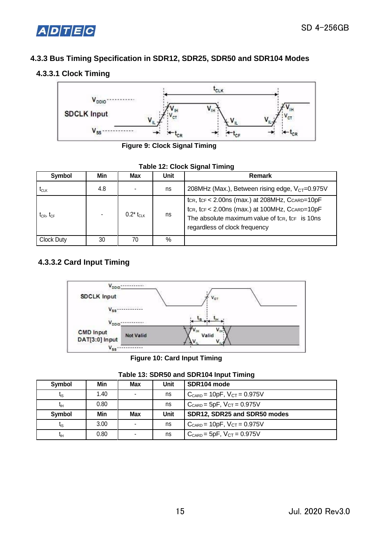



# **4.3.3 Bus Timing Specification in SDR12, SDR25, SDR50 and SDR104 Modes**

# **4.3.3.1 Clock Timing**



**Figure 9: Clock Signal Timing** 

|  | <b>Table 12: Clock Signal Timing</b> |  |  |
|--|--------------------------------------|--|--|
|--|--------------------------------------|--|--|

| Symbol                                            | Min | Max                      | <b>Unit</b> | <b>Remark</b>                                                                                                                                                                                |
|---------------------------------------------------|-----|--------------------------|-------------|----------------------------------------------------------------------------------------------------------------------------------------------------------------------------------------------|
| $\mathfrak{r}_{\scriptscriptstyle{\mathrm{CLK}}}$ | 4.8 | $\overline{\phantom{a}}$ | ns          | 208MHz (Max.), Between rising edge, V <sub>CT</sub> =0.975V                                                                                                                                  |
| $t_{CR}$ , $t_{CF}$                               | ٠   | $0.2^*$ to $\kappa$      | ns          | tcr, tcr < $2.00$ ns (max.) at $208$ MHz, CcARD=10pF<br>tcr, tcr < $2.00$ ns (max.) at 100MHz, CcARD=10pF<br>The absolute maximum value of tcr, tcr is 10ns<br>regardless of clock frequency |
| <b>Clock Duty</b>                                 | 30  | 70                       | %           |                                                                                                                                                                                              |

# **4.3.3.2 Card Input Timing**



**Figure 10: Card Input Timing** 

#### **Table 13: SDR50 and SDR104 Input Timing**

| Symbol          | Min  | Max                      | Unit        | SDR104 mode                           |
|-----------------|------|--------------------------|-------------|---------------------------------------|
| $t_{\rm IS}$    | 1.40 | $\blacksquare$           | ns          | $C_{CARD} = 10pF$ , $V_{CT} = 0.975V$ |
| $t_{\rm{H}}$    | 0.80 |                          | ns          | $C_{CARD}$ = 5pF, $V_{CT}$ = 0.975V   |
| Symbol          | Min  | <b>Max</b>               | <b>Unit</b> | SDR12, SDR25 and SDR50 modes          |
| $t_{\rm IS}$    | 3.00 | $\overline{\phantom{a}}$ | ns          | $C_{CARD} = 10pF$ , $V_{CT} = 0.975V$ |
| t <sub>ін</sub> | 0.80 | $\blacksquare$           | ns          | $C_{CARD}$ = 5pF, $V_{CT}$ = 0.975V   |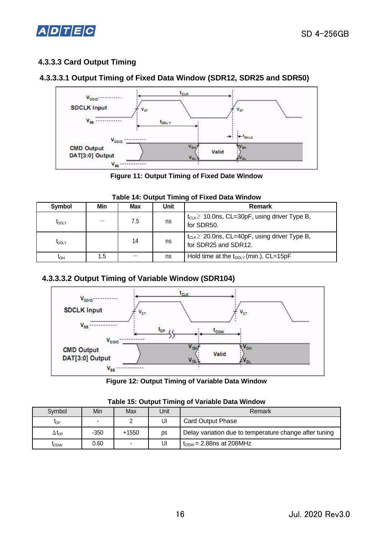

# **4.3.3.3 Card Output Timing**

# **4.3.3.3.1 Output Timing of Fixed Data Window (SDR12, SDR25 and SDR50)**



**Figure 11: Output Timing of Fixed Date Window**

| Symbol       | Min | <b>Max</b> | Unit | <b>Remark</b>                                                                 |
|--------------|-----|------------|------|-------------------------------------------------------------------------------|
| <b>LODLY</b> |     | 7.5        | ns   | $t_{CLK}$ 10.0ns, CL=30pF, using driver Type B,<br>for SDR50.                 |
| <b>LODLY</b> |     | 14         | ns   | $t_{CLK} \geq 20.0$ ns, CL=40pF, using driver Type B,<br>for SDR25 and SDR12. |
| ιон          | 1.5 |            | ns   | Hold time at the $t_{ODLY}$ (min.). CL=15pF                                   |

#### **Table 14: Output Timing of Fixed Data Window**

# **4.3.3.3.2 Output Timing of Variable Window (SDR104)**



**Figure 12: Output Timing of Variable Data Window**

| Symbol              | Min    | Max   | Unit | Remark                                                 |
|---------------------|--------|-------|------|--------------------------------------------------------|
| <b>l</b> OP         |        |       | UI   | <b>Card Output Phase</b>                               |
| $\Delta t_{\rm OP}$ | $-350$ | +1550 | ps   | Delay variation due to temperature change after tuning |
| <b>LODW</b>         | 0.60   |       | UI   | $t_{ODW}$ = 2.88ns at 208MHz                           |

#### **Table 15: Output Timing of Variable Data Window**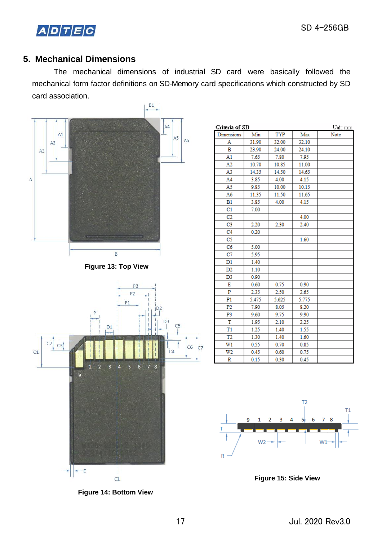

# **5. Mechanical Dimensions**

The mechanical dimensions of industrial SD card were basically followed the mechanical form factor definitions on SD-Memory card specifications which constructed by SD card association.



|                               | <b>CL</b> |  |
|-------------------------------|-----------|--|
| <b>Figure 14: Bottom View</b> |           |  |

| Criteria of SD |       |       |       | Unit: mm |
|----------------|-------|-------|-------|----------|
| Dimensions     | Min   | TYP   | Max   | Note     |
| Α              | 31.90 | 32.00 | 32.10 |          |
| в              | 23.90 | 24.00 | 24.10 |          |
| A1             | 7.65  | 7.80  | 7.95  |          |
| A <sub>2</sub> | 10.70 | 10.85 | 11.00 |          |
| A3             | 14.35 | 14.50 | 14.65 |          |
| A4             | 3.85  | 4.00  | 4.15  |          |
| A5             | 9.85  | 10.00 | 10.15 |          |
| A6             | 11.35 | 11.50 | 11.65 |          |
| B1             | 3.85  | 4.00  | 4.15  |          |
| C1             | 7.00  |       |       |          |
| C <sub>2</sub> |       |       | 4.00  |          |
| C3             | 2.20  | 2.30  | 2.40  |          |
| C <sub>4</sub> | 0.20  |       |       |          |
| C5             |       |       | 1.60  |          |
| C6             | 5.00  |       |       |          |
| C7             | 5.95  |       |       |          |
| D1             | 1.40  |       |       |          |
| D2             | 1.10  |       |       |          |
| D3             | 0.90  |       |       |          |
| Ε              | 0.60  | 0.75  | 0.90  |          |
| P              | 2.35  | 2.50  | 2.65  |          |
| P1             | 5.475 | 5.625 | 5.775 |          |
| P2             | 7.90  | 8.05  | 8.20  |          |
| P3             | 9.60  | 9.75  | 9.90  |          |
| T              | 1.95  | 2.10  | 2.25  |          |
| T1             | 1.25  | 1.40  | 1.55  |          |
| T <sub>2</sub> | 1.30  | 1.40  | 1.60  |          |
| W1             | 0.55  | 0.70  | 0.85  |          |
| W2             | 0.45  | 0.60  | 0.75  |          |
| R              | 0.15  | 0.30  | 0.45  |          |



**Figure 15: Side View**